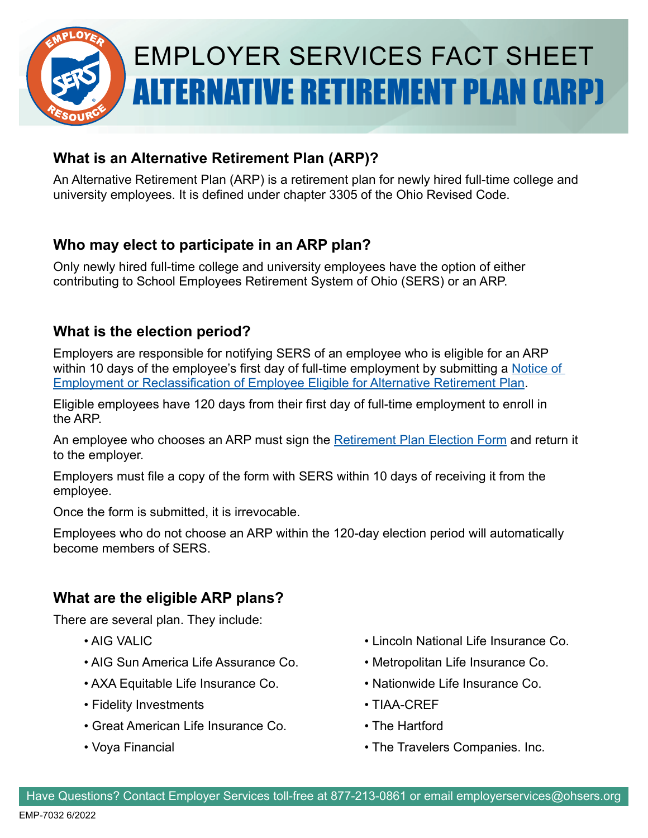

# EMPLOYER SERVICES FACT SHEET ALTERNATIVE RETIREMENT PLAN (ARP)

## **What is an Alternative Retirement Plan (ARP)?**

An Alternative Retirement Plan (ARP) is a retirement plan for newly hired full-time college and university employees. It is defined under chapter 3305 of the Ohio Revised Code.

## **Who may elect to participate in an ARP plan?**

Only newly hired full-time college and university employees have the option of either contributing to School Employees Retirement System of Ohio (SERS) or an ARP.

## **What is the election period?**

Employers are responsible for notifying SERS of an employee who is eligible for an ARP within 10 days of the employee's first day of full-time employment by submitting a Notice of [Employment or Reclassification of Employee Eligible for Alternative Retirement Plan](https://www.ohsers.org/wp-content/uploads/2018/05/EMP-ARP-Notice-of-Employee-Eligibility.pdf).

Eligible employees have 120 days from their first day of full-time employment to enroll in the ARP.

An employee who chooses an ARP must sign the [Retirement Plan Election Form](https://www.ohsers.org/wp-content/uploads/2018/05/EMP_-_ARP_-_Election_Form.pdf) and return it to the employer.

Employers must file a copy of the form with SERS within 10 days of receiving it from the employee.

Once the form is submitted, it is irrevocable.

Employees who do not choose an ARP within the 120-day election period will automatically become members of SFRS

# **What are the eligible ARP plans?**

There are several plan. They include:

- 
- AIG Sun America Life Assurance Co. • Metropolitan Life Insurance Co.
- AXA Equitable Life Insurance Co. • Nationwide Life Insurance Co.
- Fidelity Investments TIAA-CREF
- Great American Life Insurance Co. The Hartford
- 
- AIG VALIC **AIG VALIC** Lincoln National Life Insurance Co.
	-
	-
	-
	-
- Voya Financial The Travelers Companies. Inc.